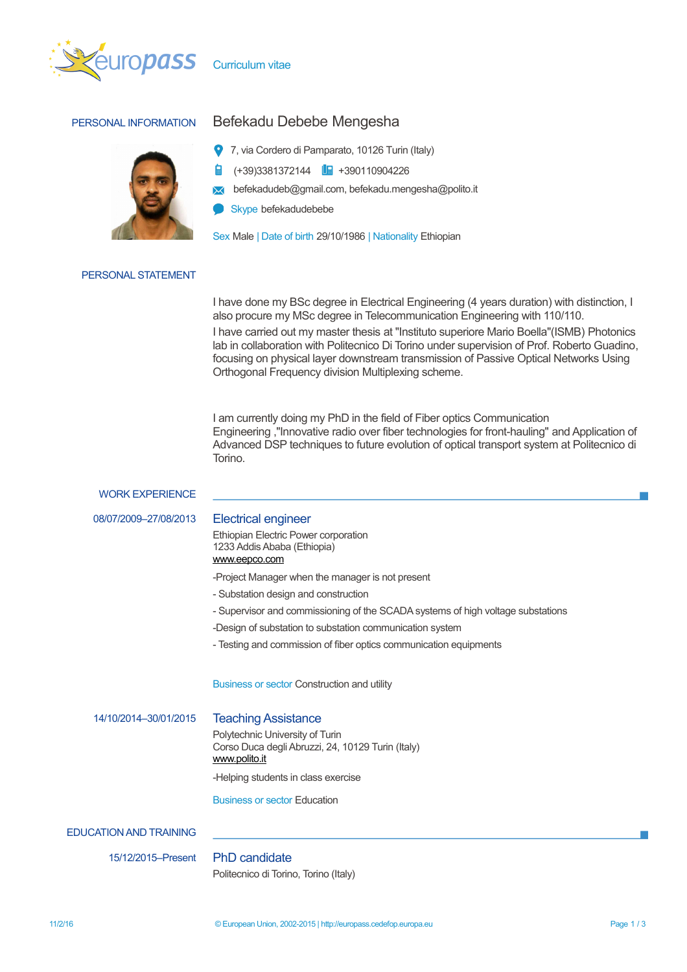



# PERSONAL INFORMATION Befekadu Debebe Mengesha

- 7, via Cordero di Pamparato, 10126 Turin (Italy)
- (+39)3381372144 **| +**390110904226
- **X** befekadudeb@gmail.com, befekadu.mengesha@polito.it
	- Skype befekadudebebe

Sex Male | Date of birth 29/10/1986 | Nationality Ethiopian

### PERSONAL STATEMENT

I have done my BSc degree in Electrical Engineering (4 years duration) with distinction, I also procure my MSc degree in Telecommunication Engineering with 110/110.

I have carried out my master thesis at "Instituto superiore Mario Boella"(ISMB) Photonics lab in collaboration with Politecnico Di Torino under supervision of Prof. Roberto Guadino, focusing on physical layer downstream transmission of Passive Optical Networks Using Orthogonal Frequency division Multiplexing scheme.

I am currently doing my PhD in the field of Fiber optics Communication Engineering ,"Innovative radio over fiber technologies for front-hauling" and Application of Advanced DSP techniques to future evolution of optical transport system at Politecnico di Torino.

### WORK EXPERIENCE

08/07/2009–27/08/2013 Electrical engineer

Ethiopian Electric Power corporation 1233 Addis Ababa (Ethiopia) [www.eepco.com](http://www.eepco.com/)

-Project Manager when the manager is not present

- Substation design and construction
- Supervisor and commissioning of the SCADA systems of high voltage substations
- -Design of substation to substation communication system
- Testing and commission of fiber optics communication equipments

Business or sector Construction and utility

14/10/2014–30/01/2015 Teaching Assistance

Polytechnic University of Turin Corso Duca degli Abruzzi, 24, 10129 Turin (Italy) [www.polito.it](http://www.polito.it/)

-Helping students in class exercise

Business or sector Education

## EDUCATION AND TRAINING

15/12/2015–Present PhD candidate

Politecnico di Torino, Torino (Italy)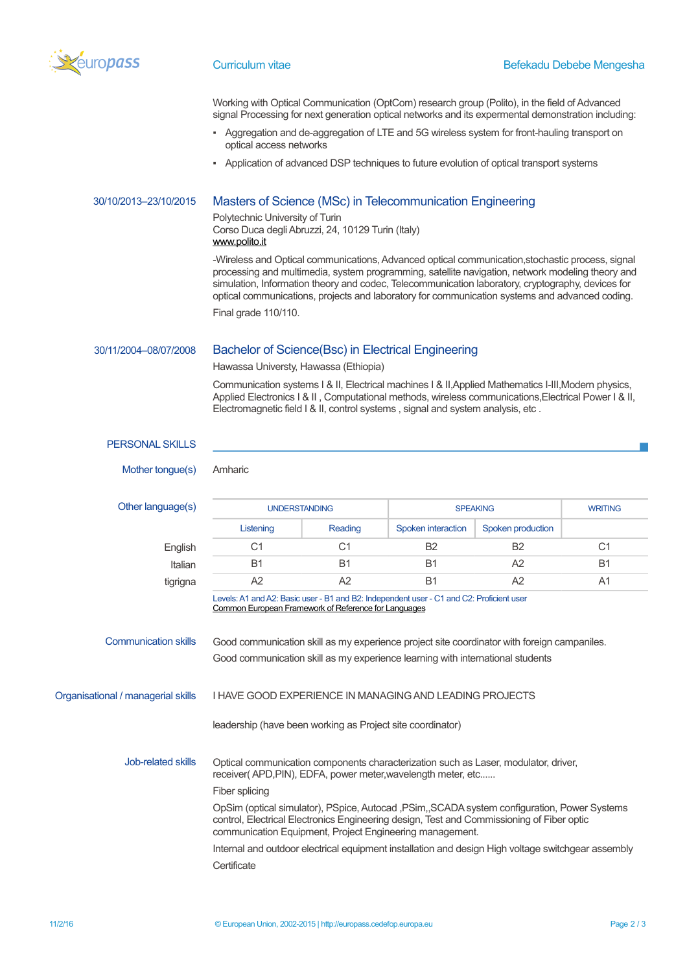

Working with Optical Communication (OptCom) research group (Polito), in the field of Advanced signal Processing for next generation optical networks and its expermental demonstration including:

- Aggregation and de-aggregation of LTE and 5G wireless system for front-hauling transport on optical access networks
- Application of advanced DSP techniques to future evolution of optical transport systems

# 30/10/2013–23/10/2015 Masters of Science (MSc) in Telecommunication Engineering

Polytechnic University of Turin Corso Duca degli Abruzzi, 24, 10129 Turin (Italy) [www.polito.it](http://www.polito.it/)

-Wireless and Optical communications, Advanced optical communication,stochastic process, signal processing and multimedia, system programming, satellite navigation, network modeling theory and simulation, Information theory and codec, Telecommunication laboratory, cryptography, devices for optical communications, projects and laboratory for communication systems and advanced coding. Final grade 110/110.

# 30/11/2004–08/07/2008 Bachelor of Science(Bsc) in Electrical Engineering

Hawassa Universty, Hawassa (Ethiopia)

Communication systems I & II, Electrical machines I & II,Applied Mathematics I-III,Modern physics, Applied Electronics I & II, Computational methods, wireless communications, Electrical Power I & II, Electromagnetic field I & II, control systems , signal and system analysis, etc .

| <b>PERSONAL SKILLS</b>             |                                                                                                                                                                                                                                                                                                                                                                                                                                                                                                                                                                                                                   |           |                    |                   |                |  |  |
|------------------------------------|-------------------------------------------------------------------------------------------------------------------------------------------------------------------------------------------------------------------------------------------------------------------------------------------------------------------------------------------------------------------------------------------------------------------------------------------------------------------------------------------------------------------------------------------------------------------------------------------------------------------|-----------|--------------------|-------------------|----------------|--|--|
| Mother tongue(s)                   | Amharic                                                                                                                                                                                                                                                                                                                                                                                                                                                                                                                                                                                                           |           |                    |                   |                |  |  |
| Other language(s)                  | <b>UNDERSTANDING</b>                                                                                                                                                                                                                                                                                                                                                                                                                                                                                                                                                                                              |           | <b>SPEAKING</b>    |                   | <b>WRITING</b> |  |  |
|                                    | Listening                                                                                                                                                                                                                                                                                                                                                                                                                                                                                                                                                                                                         | Reading   | Spoken interaction | Spoken production |                |  |  |
| English                            | C <sub>1</sub>                                                                                                                                                                                                                                                                                                                                                                                                                                                                                                                                                                                                    | C1        | <b>B2</b>          | <b>B2</b>         | C <sub>1</sub> |  |  |
| Italian                            | <b>B1</b>                                                                                                                                                                                                                                                                                                                                                                                                                                                                                                                                                                                                         | <b>B1</b> | <b>B1</b>          | A2                | <b>B1</b>      |  |  |
| tigrigna                           | A2                                                                                                                                                                                                                                                                                                                                                                                                                                                                                                                                                                                                                | A2        | <b>B1</b>          | A2                | A <sub>1</sub> |  |  |
| <b>Communication skills</b>        | Levels: A1 and A2: Basic user - B1 and B2: Independent user - C1 and C2: Proficient user<br>Common European Framework of Reference for Languages<br>Good communication skill as my experience project site coordinator with foreign campaniles.<br>Good communication skill as my experience learning with international students                                                                                                                                                                                                                                                                                 |           |                    |                   |                |  |  |
| Organisational / managerial skills | <b>I HAVE GOOD EXPERIENCE IN MANAGING AND LEADING PROJECTS</b>                                                                                                                                                                                                                                                                                                                                                                                                                                                                                                                                                    |           |                    |                   |                |  |  |
| Job-related skills                 | leadership (have been working as Project site coordinator)<br>Optical communication components characterization such as Laser, modulator, driver,<br>receiver(APD,PIN), EDFA, power meter, wavelength meter, etc<br>Fiber splicing<br>OpSim (optical simulator), PSpice, Autocad , PSim,, SCADA system configuration, Power Systems<br>control, Electrical Electronics Engineering design, Test and Commissioning of Fiber optic<br>communication Equipment, Project Engineering management.<br>Internal and outdoor electrical equipment installation and design High voltage switchgear assembly<br>Certificate |           |                    |                   |                |  |  |